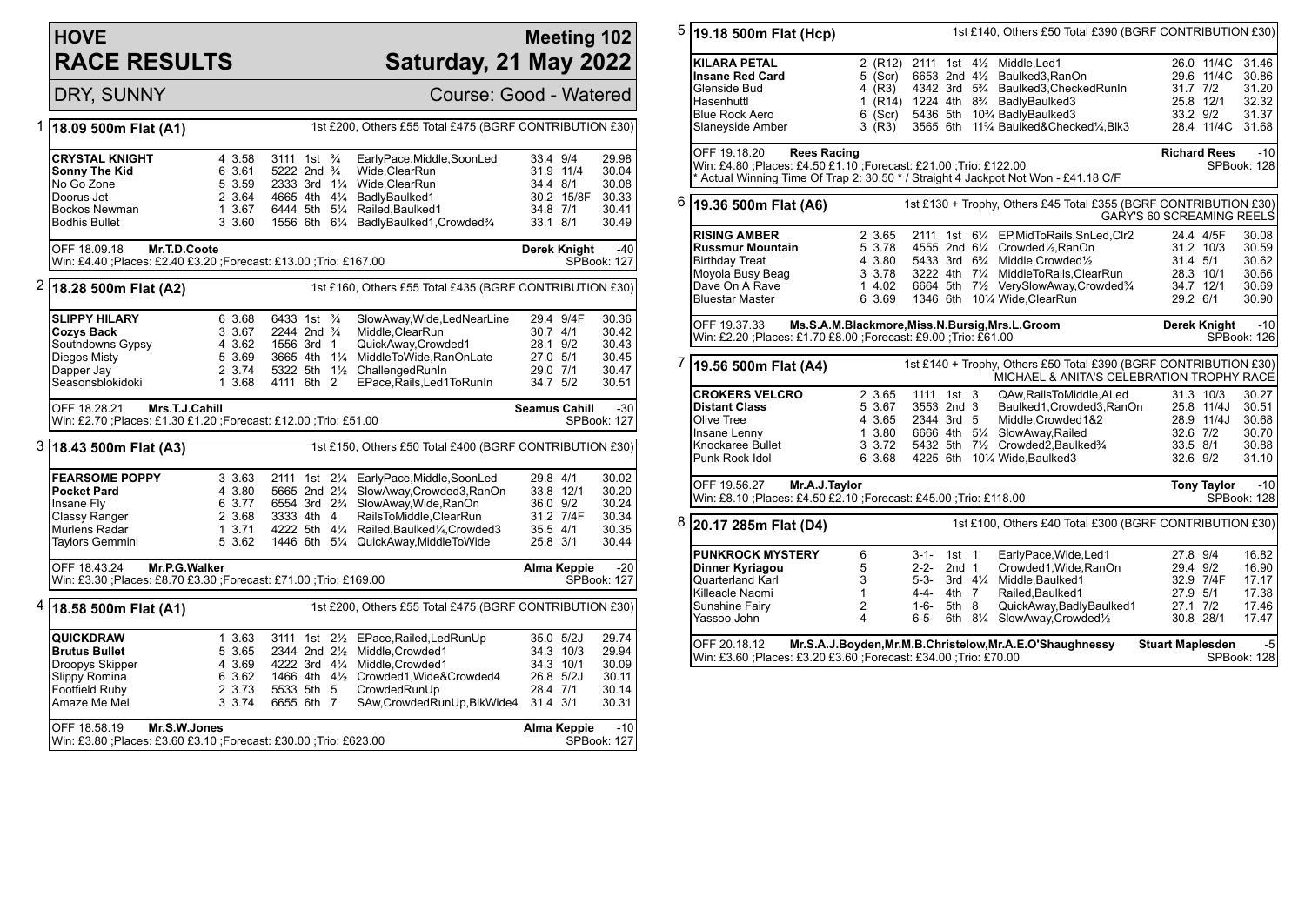## **HOVE RACE RESULTS**

## **Meeting 102 Saturday, 21 May 2022**

DRY, SUNNY Course: Good - Watered

| 1 | 1st £200, Others £55 Total £475 (BGRF CONTRIBUTION £30)<br>18.09 500m Flat (A1)   |                                                                                      |                  |                                                                |  |  |                                                              |            |                      |                             |
|---|-----------------------------------------------------------------------------------|--------------------------------------------------------------------------------------|------------------|----------------------------------------------------------------|--|--|--------------------------------------------------------------|------------|----------------------|-----------------------------|
|   | <b>CRYSTAL KNIGHT</b><br><b>Sonny The Kid</b>                                     |                                                                                      | 4 3.58<br>6 3.61 | 3111 1st $\frac{3}{4}$<br>5222 2nd <sup>3</sup> / <sub>4</sub> |  |  | EarlyPace, Middle, SoonLed<br>Wide, ClearRun                 | 33.4 9/4   | 31.9 11/4            | 29.98<br>30.04              |
|   | No Go Zone                                                                        |                                                                                      | 5 3.59           | 2333 3rd 11/4                                                  |  |  | Wide, ClearRun                                               | 34.4 8/1   |                      | 30.08                       |
|   | Doorus Jet                                                                        |                                                                                      | 2 3.64           | 4665 4th 41⁄4                                                  |  |  | BadlyBaulked1                                                |            | 30.2 15/8F           | 30.33                       |
|   | <b>Bockos Newman</b>                                                              |                                                                                      | 1 3.67           | 6444 5th 51/4                                                  |  |  | Railed, Baulked1                                             | 34.8 7/1   |                      | 30.41                       |
|   | <b>Bodhis Bullet</b>                                                              |                                                                                      | 3 3.60           |                                                                |  |  | 1556 6th 61/4 BadlyBaulked1, Crowded <sup>3</sup> /4         | 33.1 8/1   |                      | 30.49                       |
|   | OFF 18.09.18<br>Mr.T.D.Coote                                                      |                                                                                      |                  |                                                                |  |  |                                                              |            | <b>Derek Knight</b>  | $-40$                       |
|   | Win: £4.40 ;Places: £2.40 £3.20 ;Forecast: £13.00 ;Trio: £167.00                  |                                                                                      |                  |                                                                |  |  |                                                              |            |                      | SPBook: 127                 |
| 2 | 1st £160, Others £55 Total £435 (BGRF CONTRIBUTION £30)<br>18.28 500m Flat (A2)   |                                                                                      |                  |                                                                |  |  |                                                              |            |                      |                             |
|   | <b>SLIPPY HILARY</b>                                                              |                                                                                      | 6 3.68           | 6433 1st <sup>3</sup> / <sub>4</sub>                           |  |  | SlowAway, Wide, LedNearLine                                  |            | 29.4 9/4F            | 30.36                       |
|   | <b>Cozys Back</b>                                                                 |                                                                                      | 3 3.67           | 2244 2nd <sup>3</sup> / <sub>4</sub>                           |  |  | Middle, ClearRun                                             | $30.7$ 4/1 |                      | 30.42                       |
|   | Southdowns Gypsy                                                                  |                                                                                      | 4 3.62           | 1556 3rd 1                                                     |  |  | QuickAway,Crowded1                                           | 28.1 9/2   |                      | 30.43                       |
|   | Diegos Misty                                                                      |                                                                                      | 5 3.69           | 3665 4th 11/4                                                  |  |  | MiddleToWide,RanOnLate                                       | 27.0 5/1   |                      | 30.45                       |
|   | Dapper Jay                                                                        |                                                                                      | 2 3.74           |                                                                |  |  | 5322 5th 11/2 ChallengedRunIn                                | 29.0 7/1   |                      | 30.47                       |
|   | Seasonsblokidoki                                                                  |                                                                                      | 1 3.68           | 4111 6th 2                                                     |  |  | EPace, Rails, Led1To Run In                                  | 34.7 5/2   |                      | 30.51                       |
|   | OFF 18.28.21<br>Mrs.T.J.Cahill                                                    |                                                                                      |                  |                                                                |  |  |                                                              |            | <b>Seamus Cahill</b> | $-30$                       |
|   | Win: £2.70 ; Places: £1.30 £1.20 ; Forecast: £12.00 ; Trio: £51.00                |                                                                                      |                  |                                                                |  |  |                                                              |            |                      | SPBook: 127                 |
|   | 3 18.43 500m Flat (A3)<br>1st £150, Others £50 Total £400 (BGRF CONTRIBUTION £30) |                                                                                      |                  |                                                                |  |  |                                                              |            |                      |                             |
|   | <b>FEARSOME POPPY</b>                                                             |                                                                                      | 3 3.63           |                                                                |  |  | 2111 1st 21/4 EarlyPace, Middle, SoonLed                     | 29.8 4/1   |                      | 30.02                       |
|   | <b>Pocket Pard</b>                                                                |                                                                                      | 4 3.80           |                                                                |  |  | 5665 2nd 21/4 SlowAway, Crowded 3, RanOn                     |            | 33.8 12/1            | 30.20                       |
|   | Insane Fly                                                                        |                                                                                      | 6 3.77           |                                                                |  |  | 6554 3rd 2 <sup>3</sup> / <sub>4</sub> SlowAway, Wide, RanOn | 36.0 9/2   |                      | 30.24                       |
|   | Classy Ranger                                                                     |                                                                                      | 2 3.68           | 3333 4th 4                                                     |  |  | RailsToMiddle, ClearRun                                      |            | 31.2 7/4F            | 30.34                       |
|   | Murlens Radar                                                                     |                                                                                      | 13.71            | 4222 5th 41/4                                                  |  |  | Railed, Baulked <sup>1</sup> / <sub>4</sub> , Crowded 3      | 35.5 4/1   |                      | 30.35                       |
|   | Taylors Gemmini                                                                   |                                                                                      | 5 3.62           |                                                                |  |  | 1446 6th 51/4 QuickAway, MiddleToWide                        | 25.8 3/1   |                      | 30.44                       |
|   | OFF 18.43.24                                                                      | Mr.P.G.Walker<br>Win: £3.30 ; Places: £8.70 £3.30 ; Forecast: £71.00 ; Trio: £169.00 |                  |                                                                |  |  |                                                              |            | Alma Keppie          | $-20$<br><b>SPBook: 127</b> |
| 4 | 18.58 500m Flat (A1)                                                              |                                                                                      |                  |                                                                |  |  | 1st £200, Others £55 Total £475 (BGRF CONTRIBUTION £30)      |            |                      |                             |
|   | QUICKDRAW                                                                         |                                                                                      | 1 3.63           |                                                                |  |  | 3111 1st 21/2 EPace, Railed, Led Run Up                      |            | 35.0 5/2J            | 29.74                       |
|   | <b>Brutus Bullet</b>                                                              |                                                                                      | 5 3.65           | 2344 2nd 21/2                                                  |  |  | Middle, Crowded1                                             |            | 34.3 10/3            | 29.94                       |
|   | Droopys Skipper                                                                   |                                                                                      | 4 3.69           | 4222 3rd 41/4                                                  |  |  | Middle, Crowded1                                             |            | 34.3 10/1            | 30.09                       |
|   | Slippy Romina                                                                     |                                                                                      | 6 3.62           |                                                                |  |  | 1466 4th 41/ <sub>2</sub> Crowded1, Wide& Crowded 4          |            | 26.8 5/2J            | 30.11                       |
|   | <b>Footfield Ruby</b>                                                             |                                                                                      | 2 3.73           | 5533 5th 5                                                     |  |  | CrowdedRunUp                                                 | 28.4 7/1   |                      | 30.14                       |
|   | Amaze Me Mel                                                                      |                                                                                      | 3 3.74           | 6655 6th 7                                                     |  |  | SAw, Crowded Run Up, Blk Wide4 31.4 3/1                      |            |                      | 30.31                       |
|   | OFF 18.58.19                                                                      | Mr.S.W.Jones                                                                         |                  |                                                                |  |  |                                                              |            | Alma Keppie          | $-10$                       |
|   | Win: £3.80 ;Places: £3.60 £3.10 ;Forecast: £30.00 ;Trio: £623.00                  |                                                                                      |                  |                                                                |  |  |                                                              |            |                      | SPBook: 127                 |

| 5 | 1st £140, Others £50 Total £390 (BGRF CONTRIBUTION £30)<br>19.18 500m Flat (Hcp)                                                                                                              |                                                          |                                                                                                         |  |                                                                                                                                                                                                                                                                                         |                                              |                                                           |                                                    |  |
|---|-----------------------------------------------------------------------------------------------------------------------------------------------------------------------------------------------|----------------------------------------------------------|---------------------------------------------------------------------------------------------------------|--|-----------------------------------------------------------------------------------------------------------------------------------------------------------------------------------------------------------------------------------------------------------------------------------------|----------------------------------------------|-----------------------------------------------------------|----------------------------------------------------|--|
|   | <b>KILARA PETAL</b><br><b>Insane Red Card</b><br>Glenside Bud<br>Hasenhuttl<br><b>Blue Rock Aero</b><br>Slaneyside Amber                                                                      | 5 (Scr) -<br>4 (R3)<br>6 (Scr)<br>3 (R3)                 |                                                                                                         |  | 2 (R12) 2111 1st 41/2 Middle, Led1<br>6653 2nd 41/2 Baulked3, RanOn<br>4342 3rd 5 <sup>3</sup> / <sub>4</sub> Baulked3, Checked RunIn<br>1 (R14) 1224 4th 8 <sup>3</sup> / <sub>4</sub> BadlyBaulked3<br>5436 5th 10% BadlyBaulked3<br>3565 6th 11% Baulked&Checked%, Blk3              | $31.7$ $7/2$<br>33.2 9/2                     | 26.0 11/4C 31.46<br>29.6 11/4C<br>25.8 12/1<br>28.4 11/4C | 30.86<br>31.20<br>32.32<br>31.37<br>31.68          |  |
|   | OFF 19.18.20<br><b>Rees Racing</b><br>Win: £4.80 ; Places: £4.50 £1.10 ; Forecast: £21.00 ; Trio: £122.00<br>Actual Winning Time Of Trap 2: 30.50 * / Straight 4 Jackpot Not Won - £41.18 C/F |                                                          |                                                                                                         |  |                                                                                                                                                                                                                                                                                         |                                              | <b>Richard Rees</b>                                       | $-10$<br>SPBook: 128                               |  |
| 6 | 19.36 500m Flat (A6)                                                                                                                                                                          |                                                          |                                                                                                         |  | 1st £130 + Trophy, Others £45 Total £355 (BGRF CONTRIBUTION £30)                                                                                                                                                                                                                        | GARY'S 60 SCREAMING REELS                    |                                                           |                                                    |  |
|   | <b>RISING AMBER</b><br><b>Russmur Mountain</b><br><b>Birthday Treat</b><br>Moyola Busy Beag<br>Dave On A Rave<br><b>Bluestar Master</b>                                                       | 2 3.65<br>5 3.78<br>4 3.80<br>3 3.78<br>14.02<br>6 3.69  |                                                                                                         |  | 2111 1st 61/4 EP, Mid To Rails, Sn Led, Clr2<br>4555 2nd 61/4 Crowded1/2, RanOn<br>5433 3rd 6 <sup>3</sup> / <sub>4</sub> Middle.Crowded <sup>1</sup> / <sub>2</sub><br>3222 4th 71/4 MiddleToRails, ClearRun<br>6664 5th 71/2 VerySlowAway,Crowded3/4<br>1346 6th 101/4 Wide, ClearRun | 31.4 5/1<br>29.2 6/1                         | 24.4 4/5F<br>31.2 10/3<br>28.3 10/1<br>34.7 12/1          | 30.08<br>30.59<br>30.62<br>30.66<br>30.69<br>30.90 |  |
|   | OFF 19.37.33<br>Win: £2.20 ; Places: £1.70 £8.00 ; Forecast: £9.00 ; Trio: £61.00                                                                                                             |                                                          |                                                                                                         |  | Ms.S.A.M.Blackmore, Miss.N.Bursig, Mrs.L.Groom                                                                                                                                                                                                                                          |                                              | Derek Knight                                              | $-10$<br>SPBook: 126                               |  |
| 7 | 19.56 500m Flat (A4)                                                                                                                                                                          |                                                          |                                                                                                         |  | 1st £140 + Trophy, Others £50 Total £390 (BGRF CONTRIBUTION £30)<br>MICHAEL & ANITA'S CELEBRATION TROPHY RACE                                                                                                                                                                           |                                              |                                                           |                                                    |  |
|   | <b>CROKERS VELCRO</b><br><b>Distant Class</b><br>Olive Tree<br>Insane Lenny<br>Knockaree Bullet<br>Punk Rock Idol                                                                             | 2 3.65<br>5 3.67<br>4 3.65<br>1 3.80<br>3 3.72<br>6 3.68 | 1111 1st 3<br>3553 2nd 3<br>2344 3rd 5                                                                  |  | QAw.RailsToMiddle.ALed<br>Baulked1, Crowded3, RanOn<br>Middle, Crowded 1&2<br>6666 4th 51/4 SlowAway, Railed<br>5432 5th 71/ <sub>2</sub> Crowded2, Baulked <sup>3</sup> / <sub>4</sub><br>4225 6th 101/4 Wide, Baulked3                                                                | $32.6$ $7/2$<br>33.5 8/1<br>$32.6$ $9/2$     | 31.3 10/3<br>25.8 11/4J<br>28.9 11/4J                     | 30.27<br>30.51<br>30.68<br>30.70<br>30.88<br>31.10 |  |
|   | OFF 19.56.27<br>Mr.A.J.Taylor<br>Win: £8.10 ;Places: £4.50 £2.10 ;Forecast: £45.00 ;Trio: £118.00                                                                                             |                                                          |                                                                                                         |  |                                                                                                                                                                                                                                                                                         |                                              | <b>Tony Taylor</b>                                        | $-10$<br>SPBook: 128                               |  |
| 8 | 20.17 285m Flat (D4)                                                                                                                                                                          |                                                          |                                                                                                         |  | 1st £100, Others £40 Total £300 (BGRF CONTRIBUTION £30)                                                                                                                                                                                                                                 |                                              |                                                           |                                                    |  |
|   | <b>PUNKROCK MYSTERY</b><br>Dinner Kyriagou<br>Quarterland Karl<br>Killeacle Naomi<br>Sunshine Fairy<br>Yassoo John                                                                            | 6<br>5<br>3<br>$\mathbf{1}$<br>$\overline{2}$<br>4       | $1st$ 1<br>$3 - 1 -$<br>$2 - 2 -$<br>2nd <sub>1</sub><br>5-3-<br>4-4-<br>4th 7<br>1-6-<br>5th 8<br>6-5- |  | EarlyPace, Wide, Led1<br>Crowded1, Wide, RanOn<br>3rd 41/4 Middle, Baulked1<br>Railed.Baulked1<br>QuickAway,BadlyBaulked1<br>6th 81/4 SlowAway, Crowded1/2                                                                                                                              | 27.8 9/4<br>29.4 9/2<br>27.9 5/1<br>27.1 7/2 | 32.9 7/4F<br>30.8 28/1                                    | 16.82<br>16.90<br>17.17<br>17.38<br>17.46<br>17.47 |  |
|   | Mr.S.A.J.Boyden, Mr.M.B.Christelow, Mr.A.E.O'Shaughnessy<br>OFF 20.18.12<br>Win: £3.60 ;Places: £3.20 £3.60 ;Forecast: £34.00 ;Trio: £70.00                                                   |                                                          |                                                                                                         |  |                                                                                                                                                                                                                                                                                         |                                              | <b>Stuart Maplesden</b><br>-5<br>SPBook: 128              |                                                    |  |